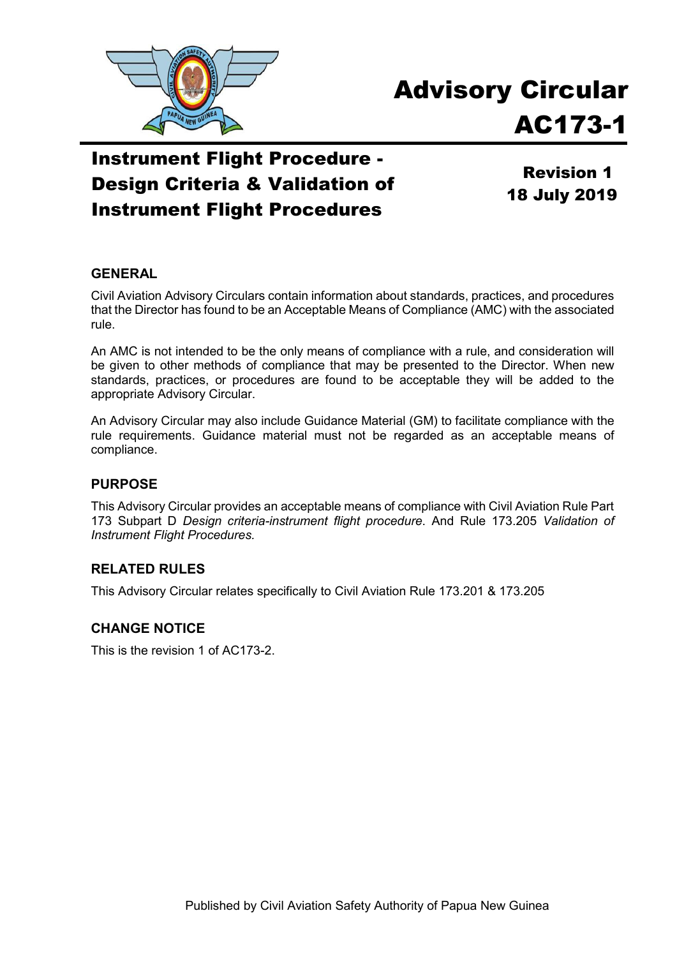

# Advisory Circular AC173-1

## Instrument Flight Procedure - Design Criteria & Validation of Instrument Flight Procedures

Revision 1 18 July 2019

#### **GENERAL**

Civil Aviation Advisory Circulars contain information about standards, practices, and procedures that the Director has found to be an Acceptable Means of Compliance (AMC) with the associated rule.

An AMC is not intended to be the only means of compliance with a rule, and consideration will be given to other methods of compliance that may be presented to the Director. When new standards, practices, or procedures are found to be acceptable they will be added to the appropriate Advisory Circular.

An Advisory Circular may also include Guidance Material (GM) to facilitate compliance with the rule requirements. Guidance material must not be regarded as an acceptable means of compliance.

#### **PURPOSE**

This Advisory Circular provides an acceptable means of compliance with Civil Aviation Rule Part 173 Subpart D *Design criteria-instrument flight procedure*. And Rule 173.205 *Validation of Instrument Flight Procedures.*

#### **RELATED RULES**

This Advisory Circular relates specifically to Civil Aviation Rule 173.201 & 173.205

#### **CHANGE NOTICE**

This is the revision 1 of AC173-2.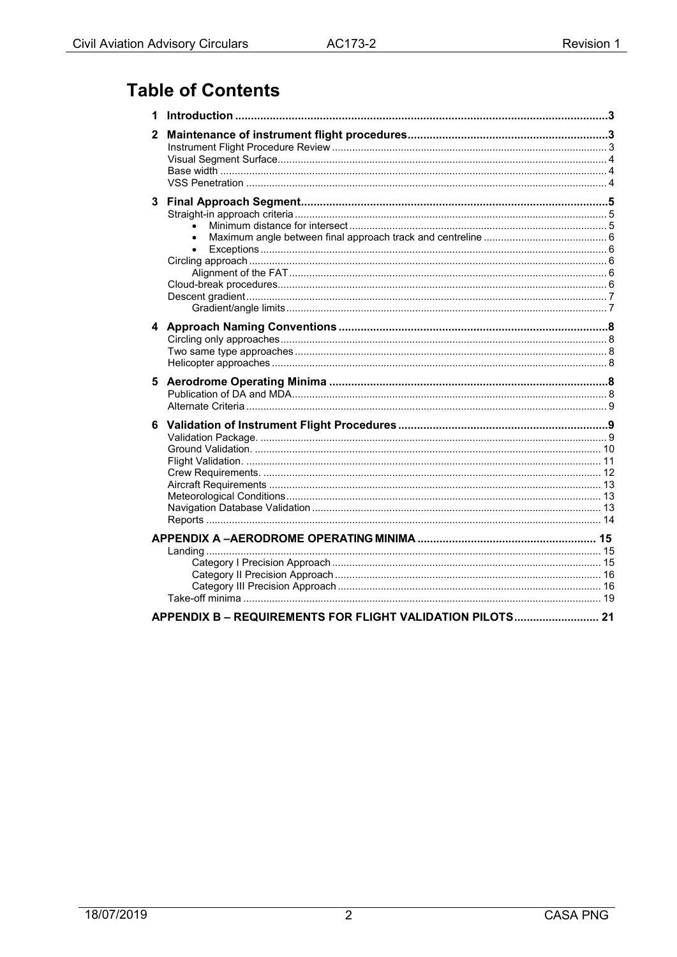## **Table of Contents**

| 1 |                                                           |  |
|---|-----------------------------------------------------------|--|
| 2 |                                                           |  |
|   | $\bullet$<br>$\bullet$                                    |  |
|   |                                                           |  |
| 5 |                                                           |  |
| 6 |                                                           |  |
|   |                                                           |  |
|   |                                                           |  |
|   |                                                           |  |
|   |                                                           |  |
|   |                                                           |  |
|   | APPENDIX B - REQUIREMENTS FOR FLIGHT VALIDATION PILOTS 21 |  |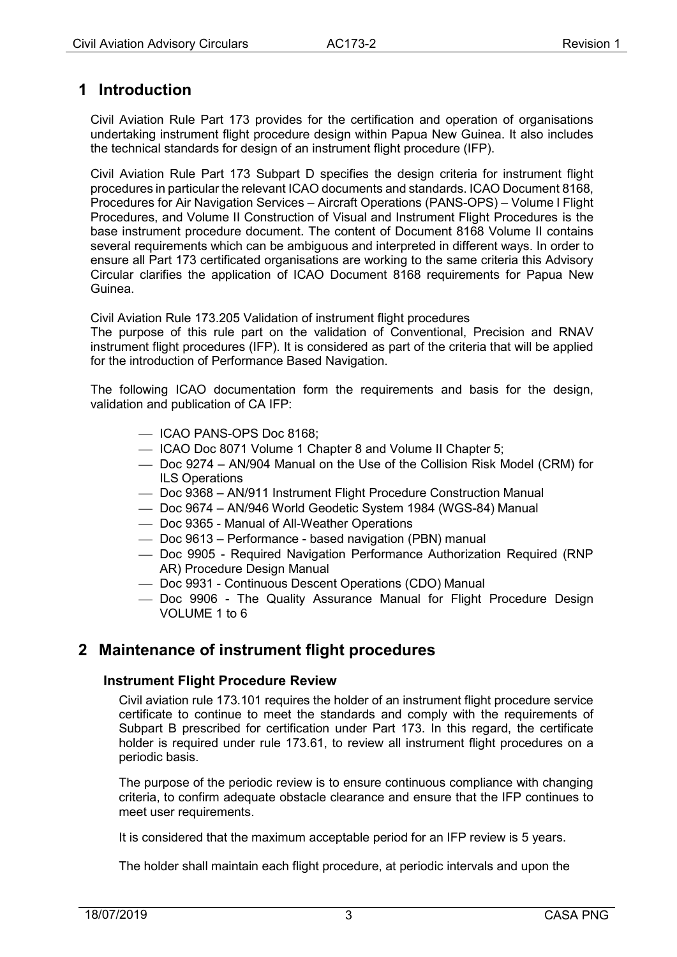## <span id="page-2-0"></span>**1 Introduction**

Civil Aviation Rule Part 173 provides for the certification and operation of organisations undertaking instrument flight procedure design within Papua New Guinea. It also includes the technical standards for design of an instrument flight procedure (IFP).

Civil Aviation Rule Part 173 Subpart D specifies the design criteria for instrument flight procedures in particular the relevant ICAO documents and standards. ICAO Document 8168, Procedures for Air Navigation Services – Aircraft Operations (PANS-OPS) – Volume I Flight Procedures, and Volume II Construction of Visual and Instrument Flight Procedures is the base instrument procedure document. The content of Document 8168 Volume II contains several requirements which can be ambiguous and interpreted in different ways. In order to ensure all Part 173 certificated organisations are working to the same criteria this Advisory Circular clarifies the application of ICAO Document 8168 requirements for Papua New Guinea.

Civil Aviation Rule 173.205 Validation of instrument flight procedures

The purpose of this rule part on the validation of Conventional, Precision and RNAV instrument flight procedures (IFP). It is considered as part of the criteria that will be applied for the introduction of Performance Based Navigation.

The following ICAO documentation form the requirements and basis for the design, validation and publication of CA IFP:

- ICAO PANS-OPS Doc 8168;
- ICAO Doc 8071 Volume 1 Chapter 8 and Volume II Chapter 5;
- Doc 9274 AN/904 Manual on the Use of the Collision Risk Model (CRM) for ILS Operations
- Doc 9368 AN/911 Instrument Flight Procedure Construction Manual
- Doc 9674 AN/946 World Geodetic System 1984 (WGS-84) Manual
- Doc 9365 Manual of All-Weather Operations
- Doc 9613 Performance based navigation (PBN) manual
- Doc 9905 Required Navigation Performance Authorization Required (RNP AR) Procedure Design Manual
- Doc 9931 Continuous Descent Operations (CDO) Manual
- Doc 9906 The Quality Assurance Manual for Flight Procedure Design VOLUME 1 to 6

### <span id="page-2-2"></span><span id="page-2-1"></span>**2 Maintenance of instrument flight procedures**

#### **Instrument Flight Procedure Review**

Civil aviation rule 173.101 requires the holder of an instrument flight procedure service certificate to continue to meet the standards and comply with the requirements of Subpart B prescribed for certification under Part 173. In this regard, the certificate holder is required under rule 173.61, to review all instrument flight procedures on a periodic basis.

The purpose of the periodic review is to ensure continuous compliance with changing criteria, to confirm adequate obstacle clearance and ensure that the IFP continues to meet user requirements.

It is considered that the maximum acceptable period for an IFP review is 5 years.

The holder shall maintain each flight procedure, at periodic intervals and upon the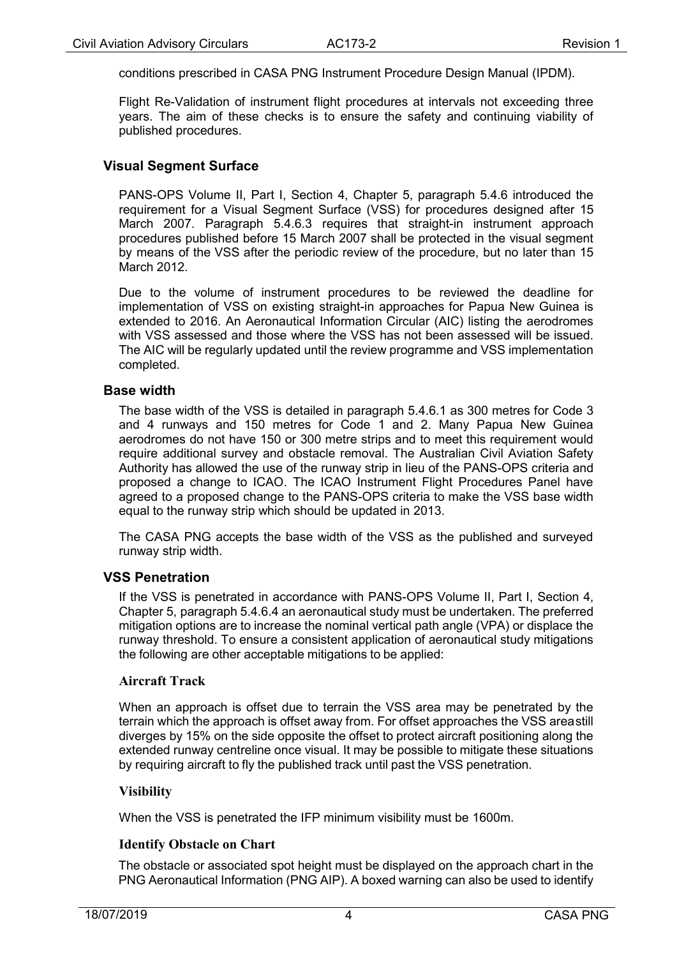conditions prescribed in CASA PNG Instrument Procedure Design Manual (IPDM).

Flight Re-Validation of instrument flight procedures at intervals not exceeding three years. The aim of these checks is to ensure the safety and continuing viability of published procedures.

#### <span id="page-3-0"></span>**Visual Segment Surface**

PANS-OPS Volume II, Part I, Section 4, Chapter 5, paragraph 5.4.6 introduced the requirement for a Visual Segment Surface (VSS) for procedures designed after 15 March 2007. Paragraph 5.4.6.3 requires that straight-in instrument approach procedures published before 15 March 2007 shall be protected in the visual segment by means of the VSS after the periodic review of the procedure, but no later than 15 March 2012.

Due to the volume of instrument procedures to be reviewed the deadline for implementation of VSS on existing straight-in approaches for Papua New Guinea is extended to 2016. An Aeronautical Information Circular (AIC) listing the aerodromes with VSS assessed and those where the VSS has not been assessed will be issued. The AIC will be regularly updated until the review programme and VSS implementation completed.

#### <span id="page-3-1"></span>**Base width**

The base width of the VSS is detailed in paragraph 5.4.6.1 as 300 metres for Code 3 and 4 runways and 150 metres for Code 1 and 2. Many Papua New Guinea aerodromes do not have 150 or 300 metre strips and to meet this requirement would require additional survey and obstacle removal. The Australian Civil Aviation Safety Authority has allowed the use of the runway strip in lieu of the PANS-OPS criteria and proposed a change to ICAO. The ICAO Instrument Flight Procedures Panel have agreed to a proposed change to the PANS-OPS criteria to make the VSS base width equal to the runway strip which should be updated in 2013.

The CASA PNG accepts the base width of the VSS as the published and surveyed runway strip width.

#### <span id="page-3-2"></span>**VSS Penetration**

If the VSS is penetrated in accordance with PANS-OPS Volume II, Part I, Section 4, Chapter 5, paragraph 5.4.6.4 an aeronautical study must be undertaken. The preferred mitigation options are to increase the nominal vertical path angle (VPA) or displace the runway threshold. To ensure a consistent application of aeronautical study mitigations the following are other acceptable mitigations to be applied:

#### **Aircraft Track**

When an approach is offset due to terrain the VSS area may be penetrated by the terrain which the approach is offset away from. For offset approaches the VSS areastill diverges by 15% on the side opposite the offset to protect aircraft positioning along the extended runway centreline once visual. It may be possible to mitigate these situations by requiring aircraft to fly the published track until past the VSS penetration.

#### **Visibility**

When the VSS is penetrated the IFP minimum visibility must be 1600m.

#### **Identify Obstacle on Chart**

The obstacle or associated spot height must be displayed on the approach chart in the PNG Aeronautical Information (PNG AIP). A boxed warning can also be used to identify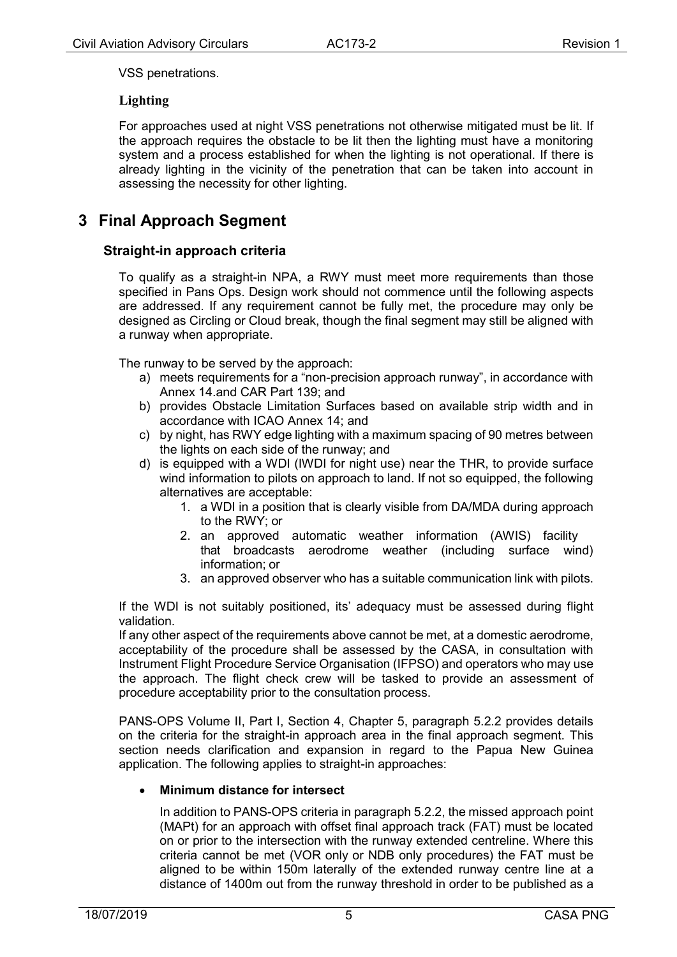VSS penetrations.

#### **Lighting**

For approaches used at night VSS penetrations not otherwise mitigated must be lit. If the approach requires the obstacle to be lit then the lighting must have a monitoring system and a process established for when the lighting is not operational. If there is already lighting in the vicinity of the penetration that can be taken into account in assessing the necessity for other lighting.

## <span id="page-4-1"></span><span id="page-4-0"></span>**3 Final Approach Segment**

#### **Straight-in approach criteria**

To qualify as a straight-in NPA, a RWY must meet more requirements than those specified in Pans Ops. Design work should not commence until the following aspects are addressed. If any requirement cannot be fully met, the procedure may only be designed as Circling or Cloud break, though the final segment may still be aligned with a runway when appropriate.

The runway to be served by the approach:

- a) meets requirements for a "non-precision approach runway", in accordance with Annex 14.and CAR Part 139; and
- b) provides Obstacle Limitation Surfaces based on available strip width and in accordance with ICAO Annex 14; and
- c) by night, has RWY edge lighting with a maximum spacing of 90 metres between the lights on each side of the runway; and
- d) is equipped with a WDI (IWDI for night use) near the THR, to provide surface wind information to pilots on approach to land. If not so equipped, the following alternatives are acceptable:
	- 1. a WDI in a position that is clearly visible from DA/MDA during approach to the RWY; or
	- 2. an approved automatic weather information (AWIS) facility that broadcasts aerodrome weather (including surface wind) information; or
	- 3. an approved observer who has a suitable communication link with pilots.

If the WDI is not suitably positioned, its' adequacy must be assessed during flight validation.

If any other aspect of the requirements above cannot be met, at a domestic aerodrome, acceptability of the procedure shall be assessed by the CASA, in consultation with Instrument Flight Procedure Service Organisation (IFPSO) and operators who may use the approach. The flight check crew will be tasked to provide an assessment of procedure acceptability prior to the consultation process.

PANS-OPS Volume II, Part I, Section 4, Chapter 5, paragraph 5.2.2 provides details on the criteria for the straight-in approach area in the final approach segment. This section needs clarification and expansion in regard to the Papua New Guinea application. The following applies to straight-in approaches:

#### <span id="page-4-2"></span>• **Minimum distance for intersect**

In addition to PANS-OPS criteria in paragraph 5.2.2, the missed approach point (MAPt) for an approach with offset final approach track (FAT) must be located on or prior to the intersection with the runway extended centreline. Where this criteria cannot be met (VOR only or NDB only procedures) the FAT must be aligned to be within 150m laterally of the extended runway centre line at a distance of 1400m out from the runway threshold in order to be published as a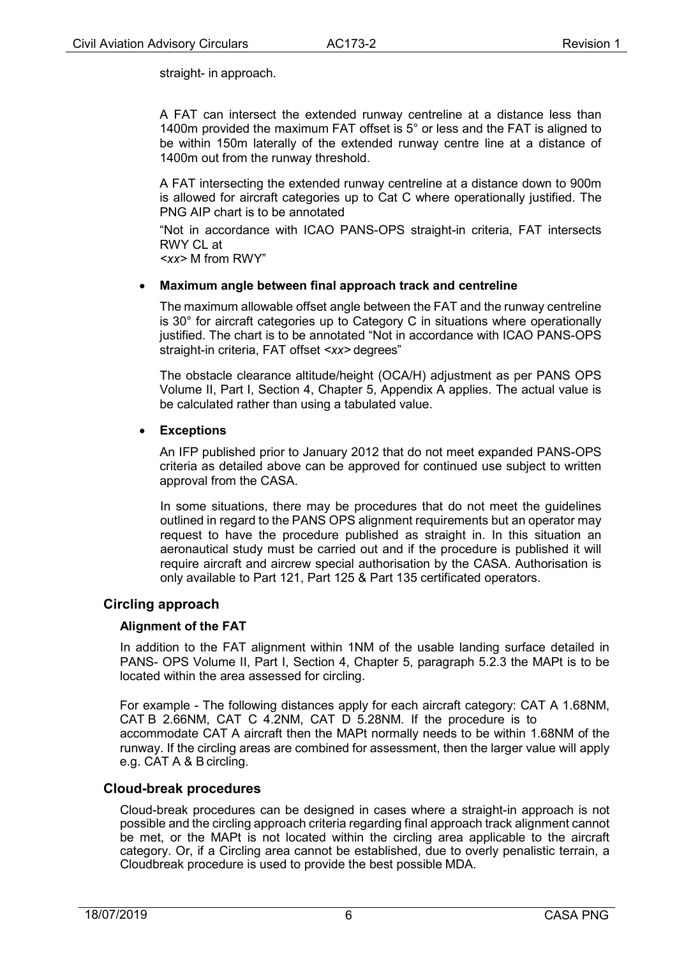straight- in approach.

A FAT can intersect the extended runway centreline at a distance less than 1400m provided the maximum FAT offset is 5° or less and the FAT is aligned to be within 150m laterally of the extended runway centre line at a distance of 1400m out from the runway threshold.

A FAT intersecting the extended runway centreline at a distance down to 900m is allowed for aircraft categories up to Cat C where operationally justified. The PNG AIP chart is to be annotated

"Not in accordance with ICAO PANS-OPS straight-in criteria, FAT intersects RWY CL at

*<xx>* M from RWY"

#### <span id="page-5-0"></span>• **Maximum angle between final approach track and centreline**

The maximum allowable offset angle between the FAT and the runway centreline is 30° for aircraft categories up to Category C in situations where operationally justified. The chart is to be annotated "Not in accordance with ICAO PANS-OPS straight-in criteria, FAT offset *<xx>* degrees"

The obstacle clearance altitude/height (OCA/H) adjustment as per PANS OPS Volume II, Part I, Section 4, Chapter 5, Appendix A applies. The actual value is be calculated rather than using a tabulated value.

#### <span id="page-5-1"></span>• **Exceptions**

An IFP published prior to January 2012 that do not meet expanded PANS-OPS criteria as detailed above can be approved for continued use subject to written approval from the CASA.

In some situations, there may be procedures that do not meet the guidelines outlined in regard to the PANS OPS alignment requirements but an operator may request to have the procedure published as straight in. In this situation an aeronautical study must be carried out and if the procedure is published it will require aircraft and aircrew special authorisation by the CASA. Authorisation is only available to Part 121, Part 125 & Part 135 certificated operators.

#### <span id="page-5-3"></span><span id="page-5-2"></span>**Circling approach**

#### **Alignment of the FAT**

In addition to the FAT alignment within 1NM of the usable landing surface detailed in PANS- OPS Volume II, Part I, Section 4, Chapter 5, paragraph 5.2.3 the MAPt is to be located within the area assessed for circling.

For example - The following distances apply for each aircraft category: CAT A 1.68NM, CAT B 2.66NM, CAT C 4.2NM, CAT D 5.28NM. If the procedure is to accommodate CAT A aircraft then the MAPt normally needs to be within 1.68NM of the runway. If the circling areas are combined for assessment, then the larger value will apply e.g. CAT A & B circling.

#### <span id="page-5-4"></span>**Cloud-break procedures**

Cloud-break procedures can be designed in cases where a straight-in approach is not possible and the circling approach criteria regarding final approach track alignment cannot be met, or the MAPt is not located within the circling area applicable to the aircraft category. Or, if a Circling area cannot be established, due to overly penalistic terrain, a Cloudbreak procedure is used to provide the best possible MDA.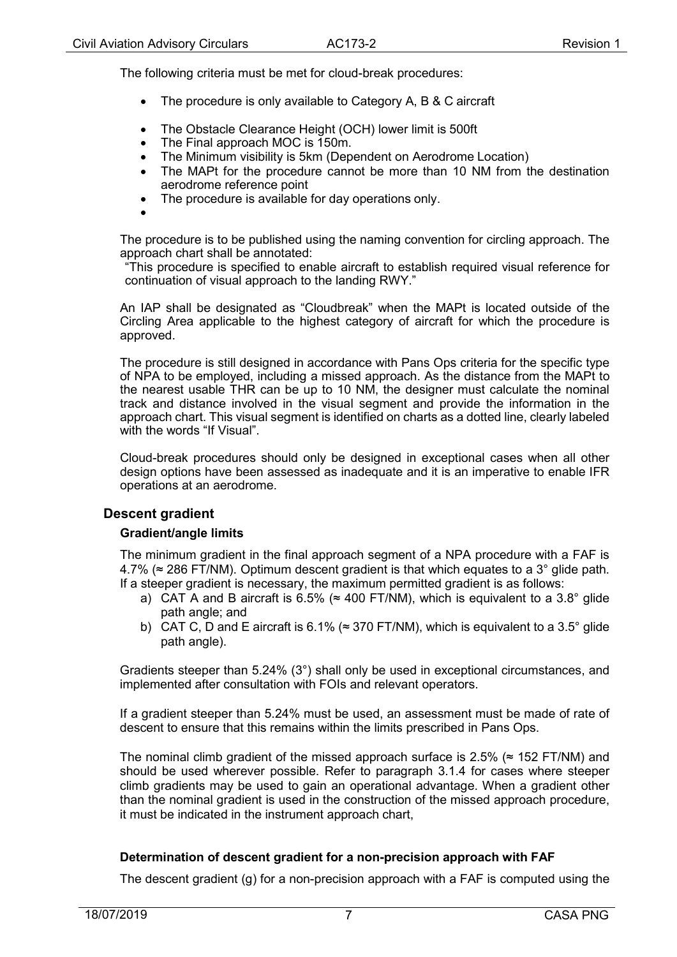The following criteria must be met for cloud-break procedures:

- The procedure is only available to Category A, B & C aircraft
- The Obstacle Clearance Height (OCH) lower limit is 500ft
- The Final approach MOC is 150m.
- The Minimum visibility is 5km (Dependent on Aerodrome Location)<br>• The MAPt for the procedure cannot be more than 10 NM from the
- The MAPt for the procedure cannot be more than 10 NM from the destination aerodrome reference point
- The procedure is available for day operations only.
- •

The procedure is to be published using the naming convention for circling approach. The approach chart shall be annotated:

"This procedure is specified to enable aircraft to establish required visual reference for continuation of visual approach to the landing RWY."

An IAP shall be designated as "Cloudbreak" when the MAPt is located outside of the Circling Area applicable to the highest category of aircraft for which the procedure is approved.

The procedure is still designed in accordance with Pans Ops criteria for the specific type of NPA to be employed, including a missed approach. As the distance from the MAPt to the nearest usable THR can be up to 10 NM, the designer must calculate the nominal track and distance involved in the visual segment and provide the information in the approach chart. This visual segment is identified on charts as a dotted line, clearly labeled with the words "If Visual".

Cloud-break procedures should only be designed in exceptional cases when all other design options have been assessed as inadequate and it is an imperative to enable IFR operations at an aerodrome.

#### <span id="page-6-1"></span><span id="page-6-0"></span>**Descent gradient**

#### **Gradient/angle limits**

The minimum gradient in the final approach segment of a NPA procedure with a FAF is  $4.7\%$  ( $\approx$  286 FT/NM). Optimum descent gradient is that which equates to a 3 $^{\circ}$  glide path. If a steeper gradient is necessary, the maximum permitted gradient is as follows:

- a) CAT A and B aircraft is 6.5% ( $\approx$  400 FT/NM), which is equivalent to a 3.8° glide path angle; and
- b) CAT C, D and E aircraft is 6.1% ( $\approx$  370 FT/NM), which is equivalent to a 3.5° glide path angle).

Gradients steeper than 5.24% (3°) shall only be used in exceptional circumstances, and implemented after consultation with FOIs and relevant operators.

If a gradient steeper than 5.24% must be used, an assessment must be made of rate of descent to ensure that this remains within the limits prescribed in Pans Ops.

The nominal climb gradient of the missed approach surface is 2.5% ( $\approx$  152 FT/NM) and should be used wherever possible. Refer to paragraph 3.1.4 for cases where steeper climb gradients may be used to gain an operational advantage. When a gradient other than the nominal gradient is used in the construction of the missed approach procedure, it must be indicated in the instrument approach chart,

#### **Determination of descent gradient for a non-precision approach with FAF**

The descent gradient (g) for a non-precision approach with a FAF is computed using the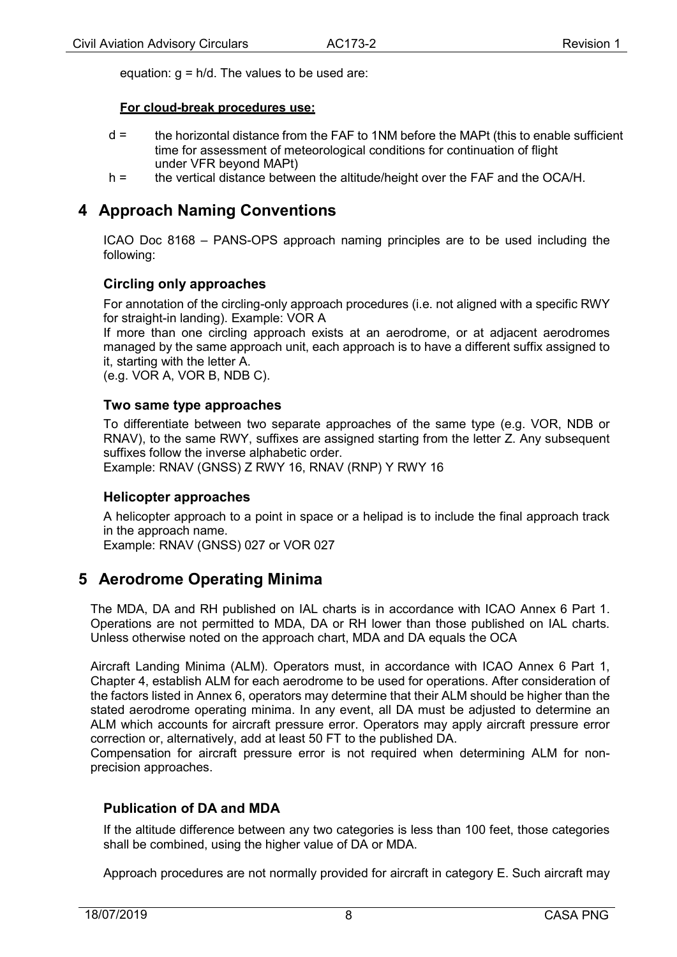equation:  $q = h/d$ . The values to be used are:

#### **For cloud-break procedures use:**

- d = the horizontal distance from the FAF to 1NM before the MAPt (this to enable sufficient time for assessment of meteorological conditions for continuation of flight under VFR beyond MAPt)
- h = the vertical distance between the altitude/height over the FAF and the OCA/H.

## <span id="page-7-0"></span>**4 Approach Naming Conventions**

ICAO Doc 8168 – PANS-OPS approach naming principles are to be used including the following:

#### <span id="page-7-1"></span>**Circling only approaches**

For annotation of the circling-only approach procedures (i.e. not aligned with a specific RWY for straight-in landing). Example: VOR A

If more than one circling approach exists at an aerodrome, or at adjacent aerodromes managed by the same approach unit, each approach is to have a different suffix assigned to it, starting with the letter A.

(e.g. VOR A, VOR B, NDB C).

#### <span id="page-7-2"></span>**Two same type approaches**

To differentiate between two separate approaches of the same type (e.g. VOR, NDB or RNAV), to the same RWY, suffixes are assigned starting from the letter Z. Any subsequent suffixes follow the inverse alphabetic order.

Example: RNAV (GNSS) Z RWY 16, RNAV (RNP) Y RWY 16

#### <span id="page-7-3"></span>**Helicopter approaches**

A helicopter approach to a point in space or a helipad is to include the final approach track in the approach name.

Example: RNAV (GNSS) 027 or VOR 027

### <span id="page-7-4"></span>**5 Aerodrome Operating Minima**

The MDA, DA and RH published on IAL charts is in accordance with ICAO Annex 6 Part 1. Operations are not permitted to MDA, DA or RH lower than those published on IAL charts. Unless otherwise noted on the approach chart, MDA and DA equals the OCA

Aircraft Landing Minima (ALM). Operators must, in accordance with ICAO Annex 6 Part 1, Chapter 4, establish ALM for each aerodrome to be used for operations. After consideration of the factors listed in Annex 6, operators may determine that their ALM should be higher than the stated aerodrome operating minima. In any event, all DA must be adjusted to determine an ALM which accounts for aircraft pressure error. Operators may apply aircraft pressure error correction or, alternatively, add at least 50 FT to the published DA.

Compensation for aircraft pressure error is not required when determining ALM for nonprecision approaches.

#### <span id="page-7-5"></span>**Publication of DA and MDA**

If the altitude difference between any two categories is less than 100 feet, those categories shall be combined, using the higher value of DA or MDA.

Approach procedures are not normally provided for aircraft in category E. Such aircraft may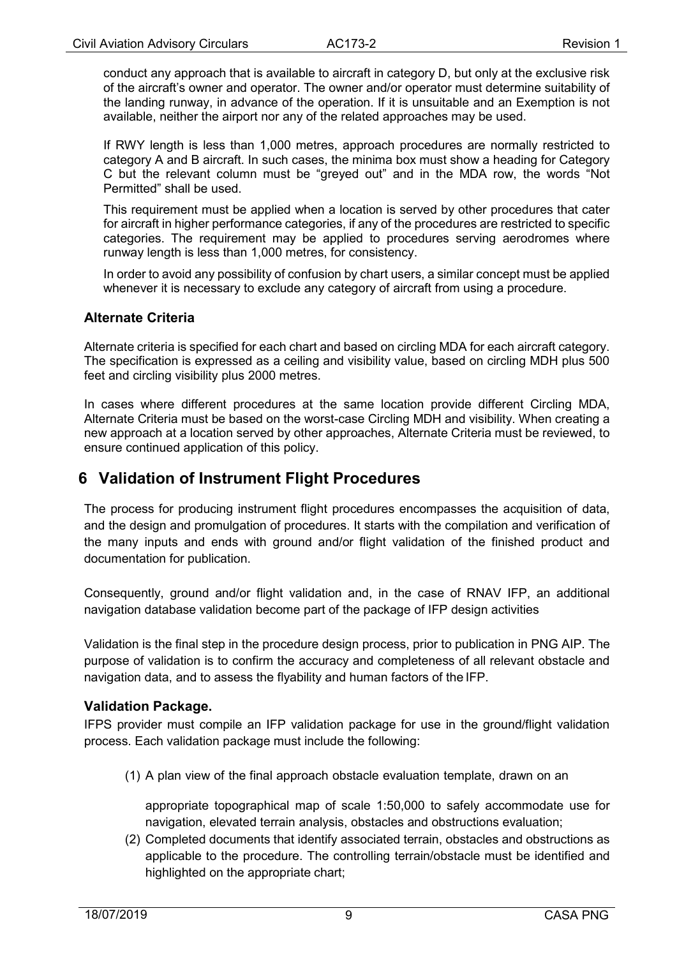conduct any approach that is available to aircraft in category D, but only at the exclusive risk of the aircraft's owner and operator. The owner and/or operator must determine suitability of the landing runway, in advance of the operation. If it is unsuitable and an Exemption is not available, neither the airport nor any of the related approaches may be used.

If RWY length is less than 1,000 metres, approach procedures are normally restricted to category A and B aircraft. In such cases, the minima box must show a heading for Category C but the relevant column must be "greyed out" and in the MDA row, the words "Not Permitted" shall be used.

This requirement must be applied when a location is served by other procedures that cater for aircraft in higher performance categories, if any of the procedures are restricted to specific categories. The requirement may be applied to procedures serving aerodromes where runway length is less than 1,000 metres, for consistency.

In order to avoid any possibility of confusion by chart users, a similar concept must be applied whenever it is necessary to exclude any category of aircraft from using a procedure.

#### <span id="page-8-0"></span>**Alternate Criteria**

Alternate criteria is specified for each chart and based on circling MDA for each aircraft category. The specification is expressed as a ceiling and visibility value, based on circling MDH plus 500 feet and circling visibility plus 2000 metres.

In cases where different procedures at the same location provide different Circling MDA, Alternate Criteria must be based on the worst-case Circling MDH and visibility. When creating a new approach at a location served by other approaches, Alternate Criteria must be reviewed, to ensure continued application of this policy.

## <span id="page-8-1"></span>**6 Validation of Instrument Flight Procedures**

The process for producing instrument flight procedures encompasses the acquisition of data, and the design and promulgation of procedures. It starts with the compilation and verification of the many inputs and ends with ground and/or flight validation of the finished product and documentation for publication.

Consequently, ground and/or flight validation and, in the case of RNAV IFP, an additional navigation database validation become part of the package of IFP design activities

Validation is the final step in the procedure design process, prior to publication in PNG AIP. The purpose of validation is to confirm the accuracy and completeness of all relevant obstacle and navigation data, and to assess the flyability and human factors of the IFP.

#### <span id="page-8-2"></span>**Validation Package.**

IFPS provider must compile an IFP validation package for use in the ground/flight validation process. Each validation package must include the following:

(1) A plan view of the final approach obstacle evaluation template, drawn on an

appropriate topographical map of scale 1:50,000 to safely accommodate use for navigation, elevated terrain analysis, obstacles and obstructions evaluation;

(2) Completed documents that identify associated terrain, obstacles and obstructions as applicable to the procedure. The controlling terrain/obstacle must be identified and highlighted on the appropriate chart;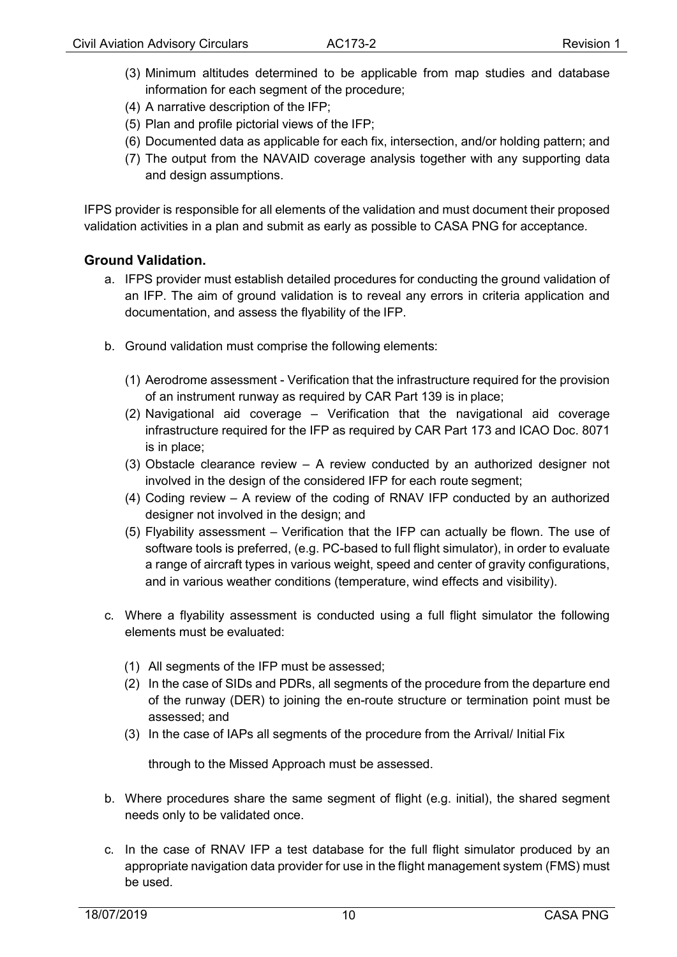- (3) Minimum altitudes determined to be applicable from map studies and database information for each segment of the procedure;
- (4) A narrative description of the IFP;
- (5) Plan and profile pictorial views of the IFP;
- (6) Documented data as applicable for each fix, intersection, and/or holding pattern; and
- (7) The output from the NAVAID coverage analysis together with any supporting data and design assumptions.

IFPS provider is responsible for all elements of the validation and must document their proposed validation activities in a plan and submit as early as possible to CASA PNG for acceptance.

#### <span id="page-9-0"></span>**Ground Validation.**

- a. IFPS provider must establish detailed procedures for conducting the ground validation of an IFP. The aim of ground validation is to reveal any errors in criteria application and documentation, and assess the flyability of the IFP.
- b. Ground validation must comprise the following elements:
	- (1) Aerodrome assessment Verification that the infrastructure required for the provision of an instrument runway as required by CAR Part 139 is in place;
	- (2) Navigational aid coverage Verification that the navigational aid coverage infrastructure required for the IFP as required by CAR Part 173 and ICAO Doc. 8071 is in place;
	- (3) Obstacle clearance review A review conducted by an authorized designer not involved in the design of the considered IFP for each route segment;
	- (4) Coding review A review of the coding of RNAV IFP conducted by an authorized designer not involved in the design; and
	- (5) Flyability assessment Verification that the IFP can actually be flown. The use of software tools is preferred, (e.g. PC-based to full flight simulator), in order to evaluate a range of aircraft types in various weight, speed and center of gravity configurations, and in various weather conditions (temperature, wind effects and visibility).
- c. Where a flyability assessment is conducted using a full flight simulator the following elements must be evaluated:
	- (1) All segments of the IFP must be assessed;
	- (2) In the case of SIDs and PDRs, all segments of the procedure from the departure end of the runway (DER) to joining the en-route structure or termination point must be assessed; and
	- (3) In the case of IAPs all segments of the procedure from the Arrival/ Initial Fix

through to the Missed Approach must be assessed.

- b. Where procedures share the same segment of flight (e.g. initial), the shared segment needs only to be validated once.
- c. In the case of RNAV IFP a test database for the full flight simulator produced by an appropriate navigation data provider for use in the flight management system (FMS) must be used.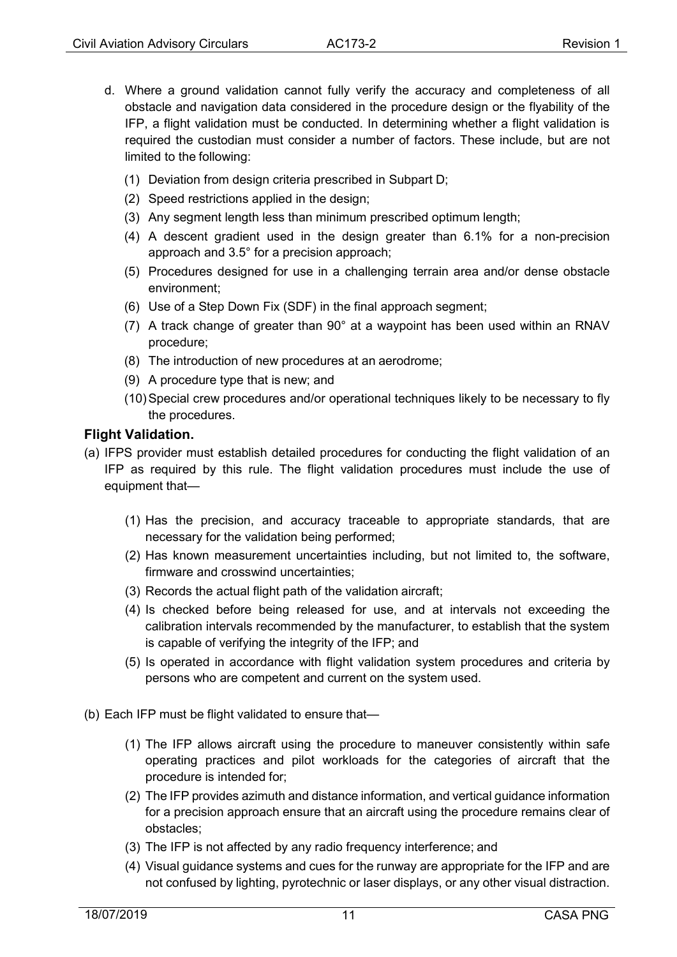- d. Where a ground validation cannot fully verify the accuracy and completeness of all obstacle and navigation data considered in the procedure design or the flyability of the IFP, a flight validation must be conducted. In determining whether a flight validation is required the custodian must consider a number of factors. These include, but are not limited to the following:
	- (1) Deviation from design criteria prescribed in Subpart D;
	- (2) Speed restrictions applied in the design;
	- (3) Any segment length less than minimum prescribed optimum length;
	- (4) A descent gradient used in the design greater than 6.1% for a non-precision approach and 3.5° for a precision approach;
	- (5) Procedures designed for use in a challenging terrain area and/or dense obstacle environment;
	- (6) Use of a Step Down Fix (SDF) in the final approach segment;
	- (7) A track change of greater than 90° at a waypoint has been used within an RNAV procedure;
	- (8) The introduction of new procedures at an aerodrome;
	- (9) A procedure type that is new; and
	- (10)Special crew procedures and/or operational techniques likely to be necessary to fly the procedures.

#### <span id="page-10-0"></span>**Flight Validation.**

- (a) IFPS provider must establish detailed procedures for conducting the flight validation of an IFP as required by this rule. The flight validation procedures must include the use of equipment that—
	- (1) Has the precision, and accuracy traceable to appropriate standards, that are necessary for the validation being performed;
	- (2) Has known measurement uncertainties including, but not limited to, the software, firmware and crosswind uncertainties;
	- (3) Records the actual flight path of the validation aircraft;
	- (4) Is checked before being released for use, and at intervals not exceeding the calibration intervals recommended by the manufacturer, to establish that the system is capable of verifying the integrity of the IFP; and
	- (5) Is operated in accordance with flight validation system procedures and criteria by persons who are competent and current on the system used.
- (b) Each IFP must be flight validated to ensure that—
	- (1) The IFP allows aircraft using the procedure to maneuver consistently within safe operating practices and pilot workloads for the categories of aircraft that the procedure is intended for;
	- (2) The IFP provides azimuth and distance information, and vertical guidance information for a precision approach ensure that an aircraft using the procedure remains clear of obstacles;
	- (3) The IFP is not affected by any radio frequency interference; and
	- (4) Visual guidance systems and cues for the runway are appropriate for the IFP and are not confused by lighting, pyrotechnic or laser displays, or any other visual distraction.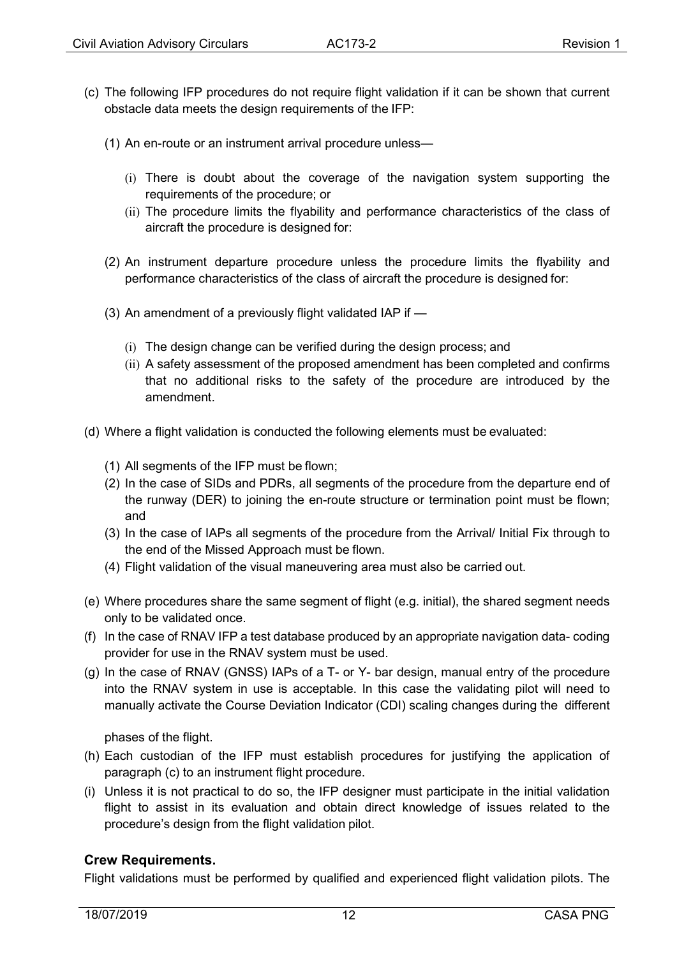- (c) The following IFP procedures do not require flight validation if it can be shown that current obstacle data meets the design requirements of the IFP:
	- (1) An en-route or an instrument arrival procedure unless—
		- (i) There is doubt about the coverage of the navigation system supporting the requirements of the procedure; or
		- (ii) The procedure limits the flyability and performance characteristics of the class of aircraft the procedure is designed for:
	- (2) An instrument departure procedure unless the procedure limits the flyability and performance characteristics of the class of aircraft the procedure is designed for:
	- (3) An amendment of a previously flight validated IAP if
		- (i) The design change can be verified during the design process; and
		- (ii) A safety assessment of the proposed amendment has been completed and confirms that no additional risks to the safety of the procedure are introduced by the amendment.
- (d) Where a flight validation is conducted the following elements must be evaluated:
	- (1) All segments of the IFP must be flown;
	- (2) In the case of SIDs and PDRs, all segments of the procedure from the departure end of the runway (DER) to joining the en-route structure or termination point must be flown; and
	- (3) In the case of IAPs all segments of the procedure from the Arrival/ Initial Fix through to the end of the Missed Approach must be flown.
	- (4) Flight validation of the visual maneuvering area must also be carried out.
- (e) Where procedures share the same segment of flight (e.g. initial), the shared segment needs only to be validated once.
- (f) In the case of RNAV IFP a test database produced by an appropriate navigation data- coding provider for use in the RNAV system must be used.
- (g) In the case of RNAV (GNSS) IAPs of a T- or Y- bar design, manual entry of the procedure into the RNAV system in use is acceptable. In this case the validating pilot will need to manually activate the Course Deviation Indicator (CDI) scaling changes during the different

phases of the flight.

- (h) Each custodian of the IFP must establish procedures for justifying the application of paragraph (c) to an instrument flight procedure.
- (i) Unless it is not practical to do so, the IFP designer must participate in the initial validation flight to assist in its evaluation and obtain direct knowledge of issues related to the procedure's design from the flight validation pilot.

#### <span id="page-11-0"></span>**Crew Requirements.**

Flight validations must be performed by qualified and experienced flight validation pilots. The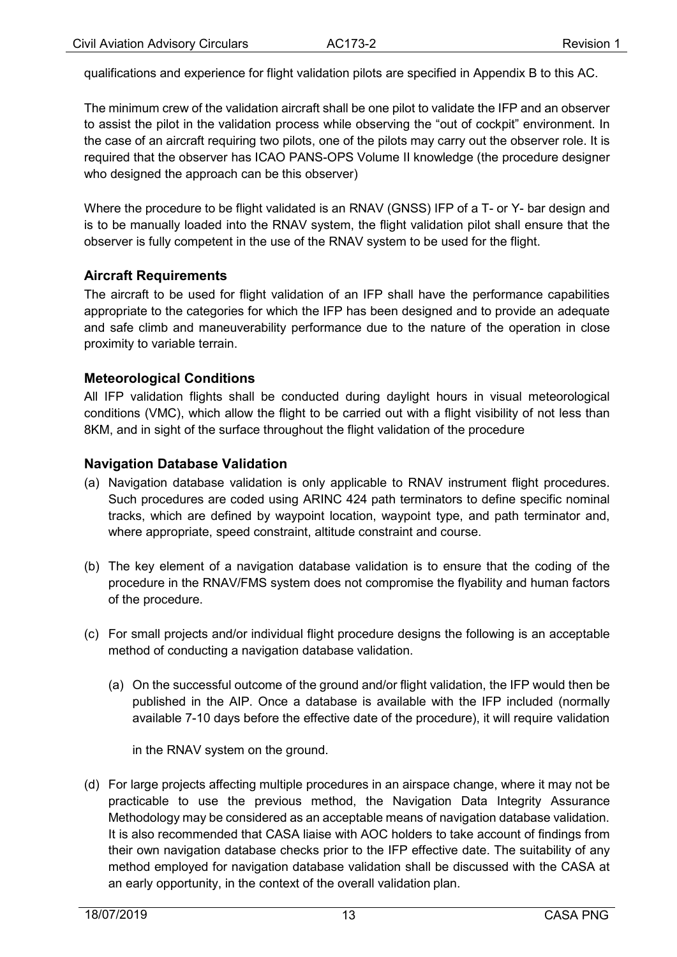qualifications and experience for flight validation pilots are specified in Appendix B to this AC.

The minimum crew of the validation aircraft shall be one pilot to validate the IFP and an observer to assist the pilot in the validation process while observing the "out of cockpit" environment. In the case of an aircraft requiring two pilots, one of the pilots may carry out the observer role. It is required that the observer has ICAO PANS-OPS Volume II knowledge (the procedure designer who designed the approach can be this observer)

Where the procedure to be flight validated is an RNAV (GNSS) IFP of a T- or Y- bar design and is to be manually loaded into the RNAV system, the flight validation pilot shall ensure that the observer is fully competent in the use of the RNAV system to be used for the flight.

#### <span id="page-12-0"></span>**Aircraft Requirements**

The aircraft to be used for flight validation of an IFP shall have the performance capabilities appropriate to the categories for which the IFP has been designed and to provide an adequate and safe climb and maneuverability performance due to the nature of the operation in close proximity to variable terrain.

#### <span id="page-12-1"></span>**Meteorological Conditions**

All IFP validation flights shall be conducted during daylight hours in visual meteorological conditions (VMC), which allow the flight to be carried out with a flight visibility of not less than 8KM, and in sight of the surface throughout the flight validation of the procedure

#### <span id="page-12-2"></span>**Navigation Database Validation**

- (a) Navigation database validation is only applicable to RNAV instrument flight procedures. Such procedures are coded using ARINC 424 path terminators to define specific nominal tracks, which are defined by waypoint location, waypoint type, and path terminator and, where appropriate, speed constraint, altitude constraint and course.
- (b) The key element of a navigation database validation is to ensure that the coding of the procedure in the RNAV/FMS system does not compromise the flyability and human factors of the procedure.
- (c) For small projects and/or individual flight procedure designs the following is an acceptable method of conducting a navigation database validation.
	- (a) On the successful outcome of the ground and/or flight validation, the IFP would then be published in the AIP. Once a database is available with the IFP included (normally available 7-10 days before the effective date of the procedure), it will require validation

in the RNAV system on the ground.

(d) For large projects affecting multiple procedures in an airspace change, where it may not be practicable to use the previous method, the Navigation Data Integrity Assurance Methodology may be considered as an acceptable means of navigation database validation. It is also recommended that CASA liaise with AOC holders to take account of findings from their own navigation database checks prior to the IFP effective date. The suitability of any method employed for navigation database validation shall be discussed with the CASA at an early opportunity, in the context of the overall validation plan.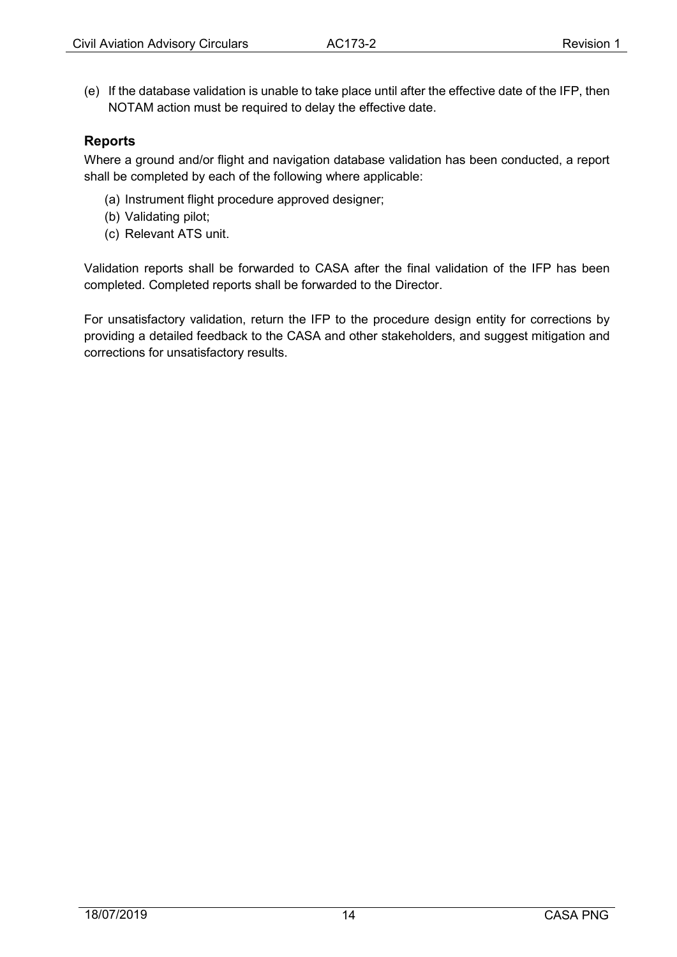(e) If the database validation is unable to take place until after the effective date of the IFP, then NOTAM action must be required to delay the effective date.

#### <span id="page-13-0"></span>**Reports**

Where a ground and/or flight and navigation database validation has been conducted, a report shall be completed by each of the following where applicable:

- (a) Instrument flight procedure approved designer;
- (b) Validating pilot;
- (c) Relevant ATS unit.

Validation reports shall be forwarded to CASA after the final validation of the IFP has been completed. Completed reports shall be forwarded to the Director.

For unsatisfactory validation, return the IFP to the procedure design entity for corrections by providing a detailed feedback to the CASA and other stakeholders, and suggest mitigation and corrections for unsatisfactory results.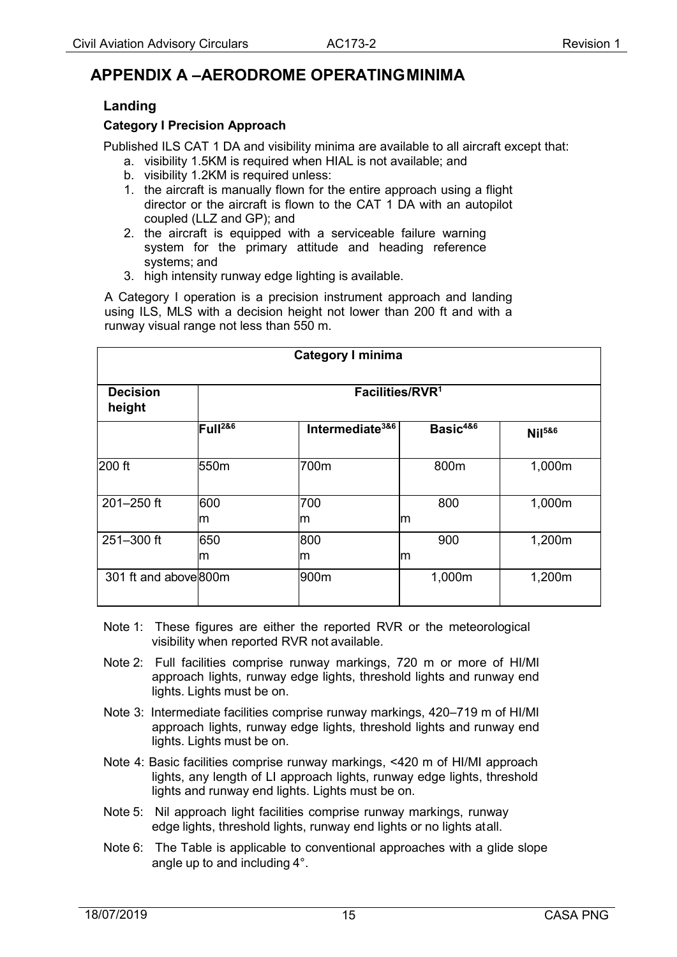## <span id="page-14-1"></span><span id="page-14-0"></span>**APPENDIX A –AERODROME OPERATINGMINIMA**

#### **Landing**

#### <span id="page-14-2"></span>**Category I Precision Approach**

Published ILS CAT 1 DA and visibility minima are available to all aircraft except that:

- a. visibility 1.5KM is required when HIAL is not available; and
- b. visibility 1.2KM is required unless:
- 1. the aircraft is manually flown for the entire approach using a flight director or the aircraft is flown to the CAT 1 DA with an autopilot coupled (LLZ and GP); and
- 2. the aircraft is equipped with a serviceable failure warning system for the primary attitude and heading reference systems; and
- 3. high intensity runway edge lighting is available.

A Category I operation is a precision instrument approach and landing using ILS, MLS with a decision height not lower than 200 ft and with a runway visual range not less than 550 m.

| <b>Category I minima</b>  |                             |                                 |                          |                    |  |  |
|---------------------------|-----------------------------|---------------------------------|--------------------------|--------------------|--|--|
| <b>Decision</b><br>height | Facilities/RVR <sup>1</sup> |                                 |                          |                    |  |  |
|                           | Full <sup>286</sup>         | Intermediate <sup>3&amp;6</sup> | Basic <sup>4&amp;6</sup> | Nil <sup>586</sup> |  |  |
| 200 ft                    | 550m                        | 700m                            | 800m                     | 1,000m             |  |  |
| 201-250 ft                | 600<br>lm                   | 700<br>m                        | 800<br>lm                | 1,000m             |  |  |
| 251-300 ft                | 650<br>m                    | 800<br>m                        | 900<br>lm                | 1,200m             |  |  |
| 301 ft and above 800m     |                             | 900m                            | 1,000m                   | 1,200m             |  |  |

Note 1: These figures are either the reported RVR or the meteorological visibility when reported RVR not available.

Note 2: Full facilities comprise runway markings, 720 m or more of HI/MI approach lights, runway edge lights, threshold lights and runway end lights. Lights must be on.

- Note 3: Intermediate facilities comprise runway markings, 420–719 m of HI/MI approach lights, runway edge lights, threshold lights and runway end lights. Lights must be on.
- Note 4: Basic facilities comprise runway markings, <420 m of HI/MI approach lights, any length of LI approach lights, runway edge lights, threshold lights and runway end lights. Lights must be on.
- Note 5: Nil approach light facilities comprise runway markings, runway edge lights, threshold lights, runway end lights or no lights atall.
- Note 6: The Table is applicable to conventional approaches with a glide slope angle up to and including 4°.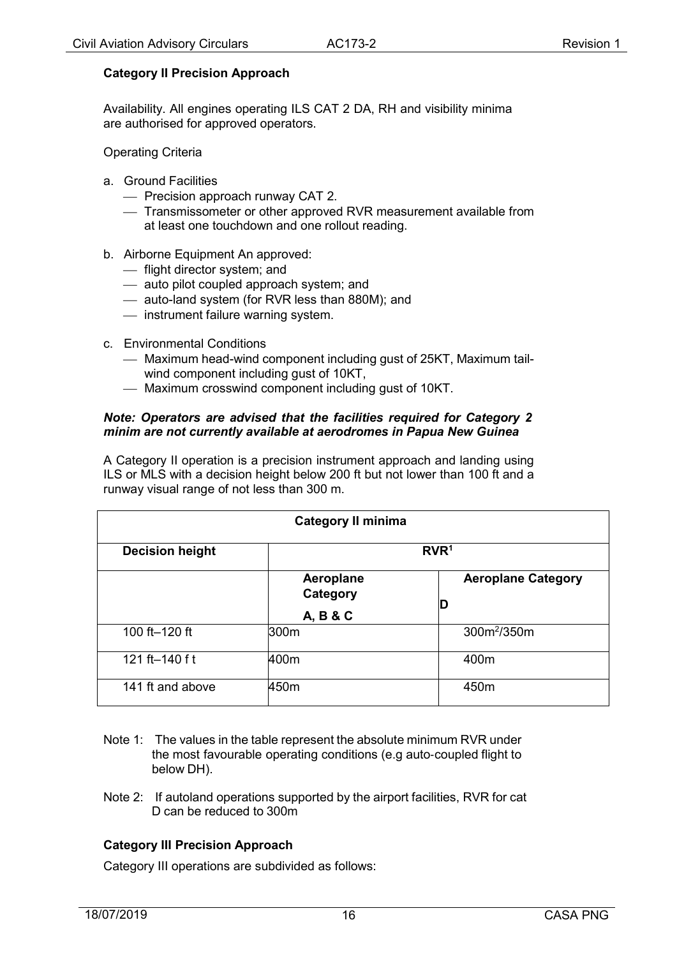#### <span id="page-15-0"></span>**Category II Precision Approach**

Availability. All engines operating ILS CAT 2 DA, RH and visibility minima are authorised for approved operators.

Operating Criteria

- a. Ground Facilities
	- Precision approach runway CAT 2.
	- Transmissometer or other approved RVR measurement available from at least one touchdown and one rollout reading.
- b. Airborne Equipment An approved:
	- flight director system; and
	- auto pilot coupled approach system; and
	- auto-land system (for RVR less than 880M); and
	- $-$  instrument failure warning system.
- c. Environmental Conditions
	- Maximum head-wind component including gust of 25KT, Maximum tailwind component including gust of 10KT,
	- Maximum crosswind component including gust of 10KT.

#### *Note: Operators are advised that the facilities required for Category 2 minim are not currently available at aerodromes in Papua New Guinea*

A Category II operation is a precision instrument approach and landing using ILS or MLS with a decision height below 200 ft but not lower than 100 ft and a runway visual range of not less than 300 m.

| <b>Category II minima</b>                  |                       |                                |  |  |  |
|--------------------------------------------|-----------------------|--------------------------------|--|--|--|
| RVR <sup>1</sup><br><b>Decision height</b> |                       |                                |  |  |  |
|                                            | Aeroplane<br>Category | <b>Aeroplane Category</b><br>D |  |  |  |
| 100 ft-120 ft                              | A, B & C<br>300m      | 300m <sup>2</sup> /350m        |  |  |  |
| 121 ft-140 f t                             | 400m                  | 400m                           |  |  |  |
| 141 ft and above                           | 450m                  | 450m                           |  |  |  |

- Note 1: The values in the table represent the absolute minimum RVR under the most favourable operating conditions (e.g auto‐coupled flight to below DH).
- Note 2: If autoland operations supported by the airport facilities, RVR for cat D can be reduced to 300m

#### <span id="page-15-1"></span>**Category III Precision Approach**

Category III operations are subdivided as follows: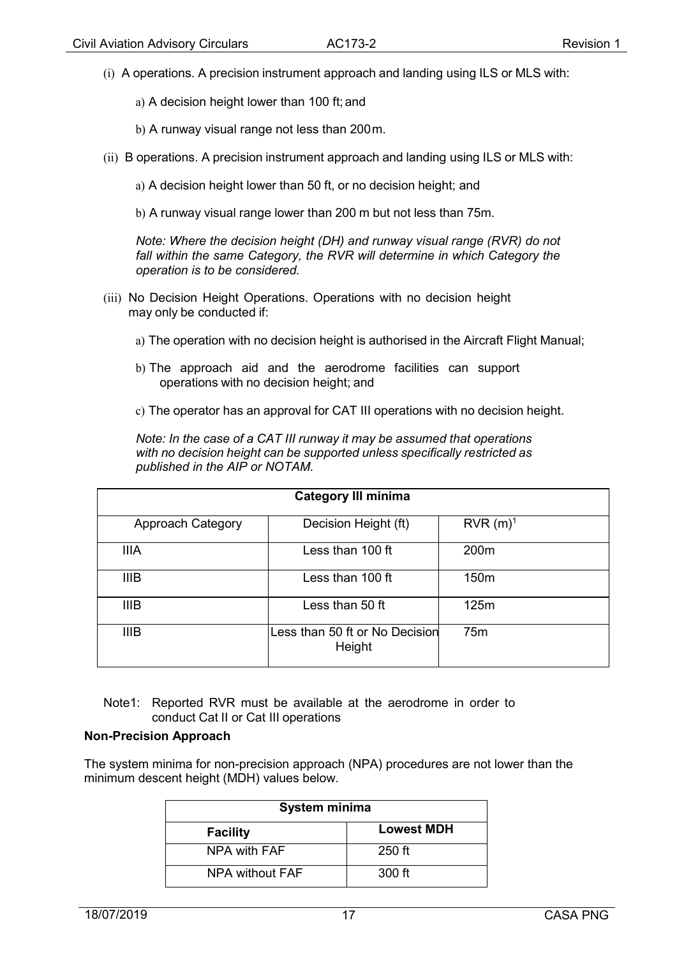- (i) A operations. A precision instrument approach and landing using ILS or MLS with:
	- a) A decision height lower than 100 ft; and
	- b) A runway visual range not less than 200m.
- (ii) B operations. A precision instrument approach and landing using ILS or MLS with:
	- a) A decision height lower than 50 ft, or no decision height; and
	- b) A runway visual range lower than 200 m but not less than 75m.

*Note: Where the decision height (DH) and runway visual range (RVR) do not*  fall within the same Category, the RVR will determine in which Category the *operation is to be considered.*

- (iii) No Decision Height Operations. Operations with no decision height may only be conducted if:
	- a) The operation with no decision height is authorised in the Aircraft Flight Manual;
	- b) The approach aid and the aerodrome facilities can support operations with no decision height; and
	- c) The operator has an approval for CAT III operations with no decision height.

*Note: In the case of a CAT III runway it may be assumed that operations with no decision height can be supported unless specifically restricted as published in the AIP or NOTAM.*

| <b>Category III minima</b> |                                          |                  |  |  |  |
|----------------------------|------------------------------------------|------------------|--|--|--|
| Approach Category          | Decision Height (ft)                     | $RVR(m)^1$       |  |  |  |
| <b>IIIA</b>                | Less than 100 ft                         | 200 <sub>m</sub> |  |  |  |
| <b>IIIB</b>                | Less than 100 ft                         | 150 <sub>m</sub> |  |  |  |
| <b>IIIB</b>                | Less than 50 ft                          | 125m             |  |  |  |
| <b>IIIB</b>                | Less than 50 ft or No Decision<br>Height | 75 <sub>m</sub>  |  |  |  |

Note1: Reported RVR must be available at the aerodrome in order to conduct Cat II or Cat III operations

#### **Non-Precision Approach**

The system minima for non-precision approach (NPA) procedures are not lower than the minimum descent height (MDH) values below.

| System minima   |                   |  |  |
|-----------------|-------------------|--|--|
| <b>Facility</b> | <b>Lowest MDH</b> |  |  |
| NPA with FAF    | $250$ ft          |  |  |
| NPA without FAF | 300 ft            |  |  |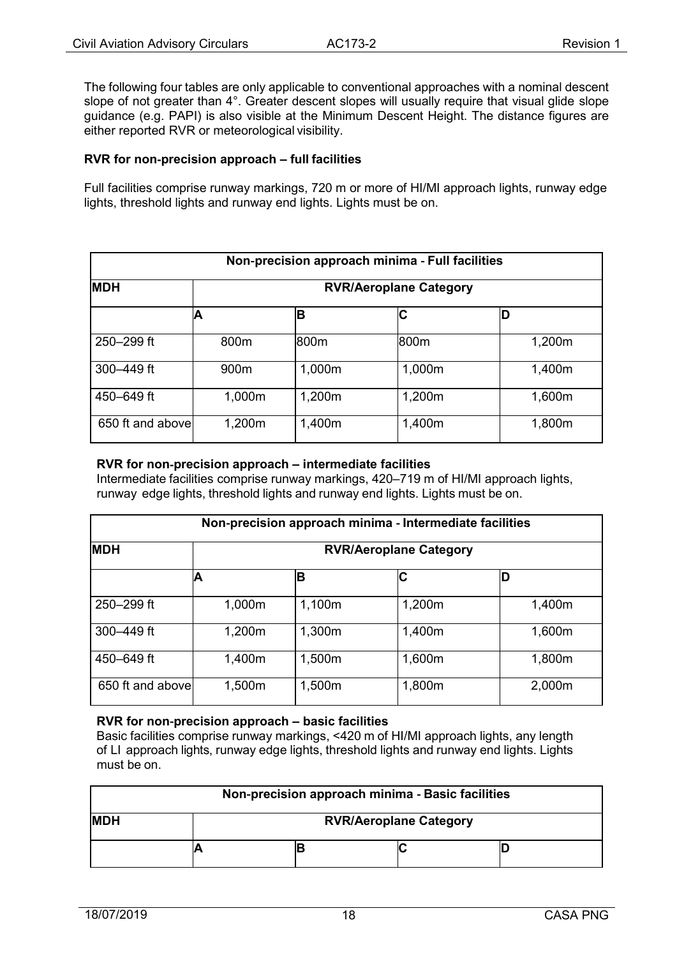The following four tables are only applicable to conventional approaches with a nominal descent slope of not greater than 4°. Greater descent slopes will usually require that visual glide slope guidance (e.g. PAPI) is also visible at the Minimum Descent Height. The distance figures are either reported RVR or meteorological visibility.

#### **RVR for non**‐**precision approach – full facilities**

Full facilities comprise runway markings, 720 m or more of HI/MI approach lights, runway edge lights, threshold lights and runway end lights. Lights must be on.

| Non-precision approach minima - Full facilities |                               |        |        |        |  |
|-------------------------------------------------|-------------------------------|--------|--------|--------|--|
| <b>MDH</b>                                      | <b>RVR/Aeroplane Category</b> |        |        |        |  |
|                                                 | А                             | в      | C      | D      |  |
| 250-299 ft                                      | 800m                          | 800m   | 800m   | 1,200m |  |
| 300-449 ft                                      | 900m                          | 1,000m | 1,000m | 1,400m |  |
| 450-649 ft                                      | 1,000m                        | 1,200m | 1,200m | 1,600m |  |
| 650 ft and above                                | 1,200m                        | 1,400m | 1,400m | 1,800m |  |

#### **RVR for non**‐**precision approach – intermediate facilities**

Intermediate facilities comprise runway markings, 420–719 m of HI/MI approach lights, runway edge lights, threshold lights and runway end lights. Lights must be on.

| Non-precision approach minima - Intermediate facilities |                               |        |        |        |  |
|---------------------------------------------------------|-------------------------------|--------|--------|--------|--|
| <b>MDH</b>                                              | <b>RVR/Aeroplane Category</b> |        |        |        |  |
|                                                         |                               | B      | С      | D      |  |
| 250–299 ft                                              | 1,000m                        | 1,100m | 1,200m | 1,400m |  |
| $300 - 449$ ft                                          | 1,200m                        | 1,300m | 1,400m | 1,600m |  |
| 450-649 ft                                              | 1,400m                        | 1,500m | 1,600m | 1,800m |  |
| 650 ft and above                                        | 1,500m                        | 1,500m | 1,800m | 2,000m |  |

#### **RVR for non**‐**precision approach – basic facilities**

Basic facilities comprise runway markings, <420 m of HI/MI approach lights, any length of LI approach lights, runway edge lights, threshold lights and runway end lights. Lights must be on.

| Non-precision approach minima - Basic facilities |                               |  |  |  |
|--------------------------------------------------|-------------------------------|--|--|--|
| <b>MDH</b>                                       | <b>RVR/Aeroplane Category</b> |  |  |  |
|                                                  |                               |  |  |  |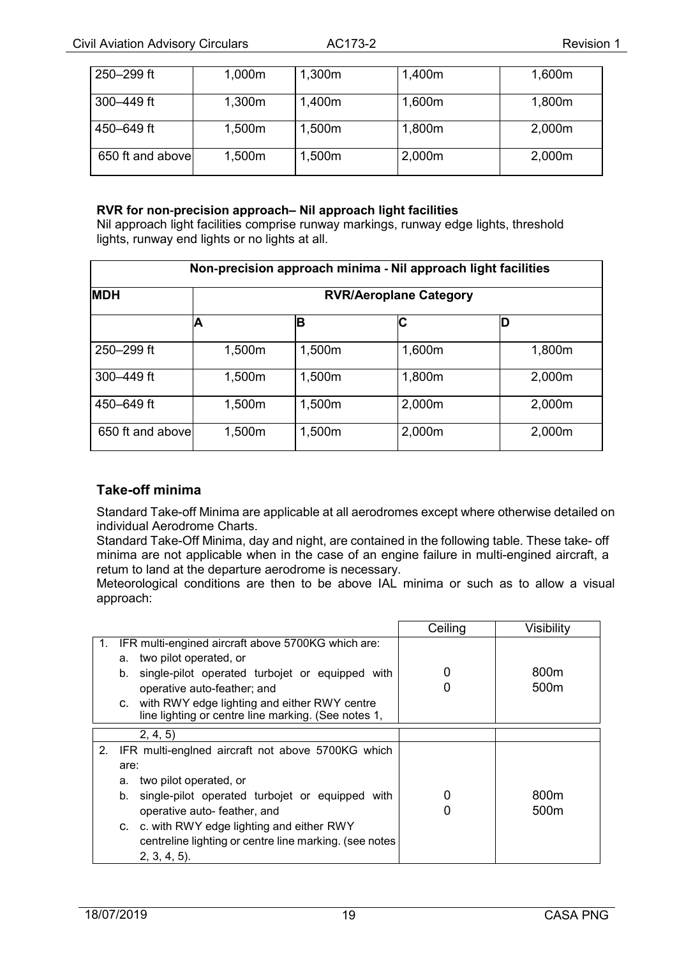| 250-299 ft       | 1,000m | 1,300m | 1,400m | 1,600m |
|------------------|--------|--------|--------|--------|
| 300-449 ft       | 1,300m | 1,400m | 1,600m | 1,800m |
| 450–649 ft       | 1,500m | 1,500m | 1,800m | 2,000m |
| 650 ft and above | 1,500m | 1,500m | 2,000m | 2,000m |

#### **RVR for non**‐**precision approach– Nil approach light facilities**

Nil approach light facilities comprise runway markings, runway edge lights, threshold lights, runway end lights or no lights at all.

| Non-precision approach minima - Nil approach light facilities |                               |        |        |        |  |
|---------------------------------------------------------------|-------------------------------|--------|--------|--------|--|
| <b>MDH</b>                                                    | <b>RVR/Aeroplane Category</b> |        |        |        |  |
|                                                               | A                             | B      | C      |        |  |
| 250-299 ft                                                    | 1,500m                        | 1,500m | 1,600m | 1,800m |  |
| $300 - 449$ ft                                                | 1,500m                        | 1,500m | 1,800m | 2,000m |  |
| 450–649 ft                                                    | 1,500m                        | 1,500m | 2,000m | 2,000m |  |
| 650 ft and above                                              | 1,500m                        | 1,500m | 2,000m | 2,000m |  |

#### <span id="page-18-0"></span>**Take-off minima**

Standard Take-off Minima are applicable at all aerodromes except where otherwise detailed on individual Aerodrome Charts.

Standard Take-Off Minima, day and night, are contained in the following table. These take- off minima are not applicable when in the case of an engine failure in multi-engined aircraft, a retum to land at the departure aerodrome is necessary.

Meteorological conditions are then to be above IAL minima or such as to allow a visual approach:

|    |                                                                                                        | Ceiling | Visibility       |
|----|--------------------------------------------------------------------------------------------------------|---------|------------------|
| 1. | IFR multi-engined aircraft above 5700KG which are:                                                     |         |                  |
|    | two pilot operated, or<br>a.                                                                           |         |                  |
|    | single-pilot operated turbojet or equipped with<br>b.                                                  |         | 800 <sub>m</sub> |
|    | operative auto-feather; and                                                                            |         | 500m             |
|    | c. with RWY edge lighting and either RWY centre<br>line lighting or centre line marking. (See notes 1, |         |                  |
|    | 2, 4, 5                                                                                                |         |                  |
|    | 2. IFR multi-engined aircraft not above 5700KG which                                                   |         |                  |
|    | are:                                                                                                   |         |                  |
|    | two pilot operated, or<br>a.                                                                           |         |                  |
|    | single-pilot operated turbojet or equipped with<br>b.                                                  |         | 800 <sub>m</sub> |
|    | operative auto- feather, and                                                                           | 0       | 500 <sub>m</sub> |
|    | c. c. with RWY edge lighting and either RWY                                                            |         |                  |
|    | centreline lighting or centre line marking. (see notes                                                 |         |                  |
|    | $2, 3, 4, 5$ ).                                                                                        |         |                  |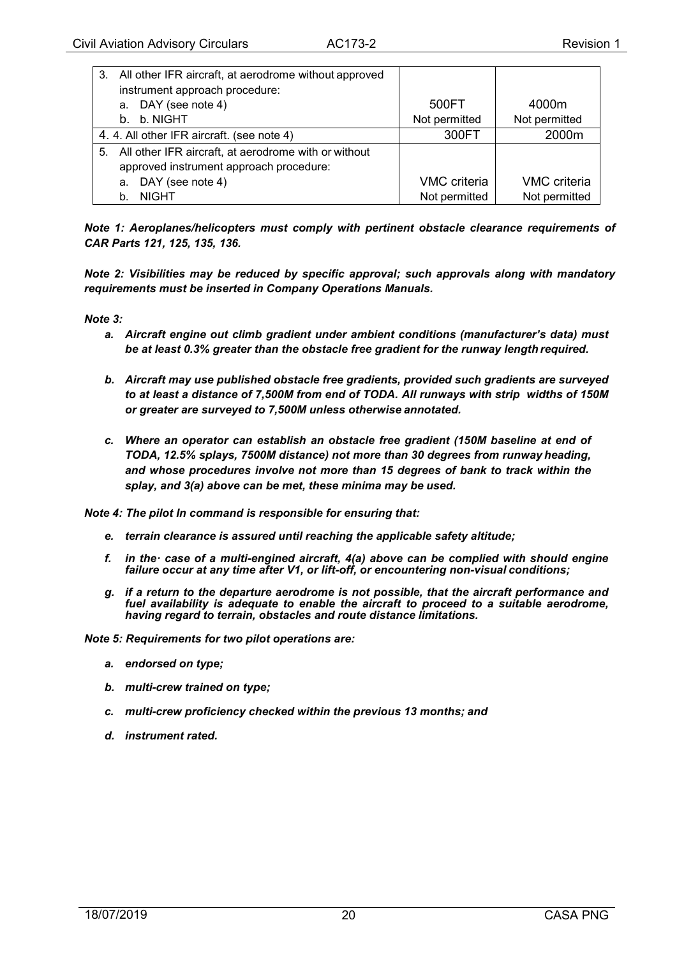| 3. All other IFR aircraft, at aerodrome without approved |                     |                     |
|----------------------------------------------------------|---------------------|---------------------|
| instrument approach procedure:                           |                     |                     |
| a. DAY (see note 4)                                      | 500FT               | 4000m               |
| b. b. NIGHT                                              | Not permitted       | Not permitted       |
| 4. 4. All other IFR aircraft. (see note 4)               | 300FT               | 2000m               |
| 5. All other IFR aircraft, at aerodrome with or without  |                     |                     |
| approved instrument approach procedure:                  |                     |                     |
| a. DAY (see note 4)                                      | <b>VMC</b> criteria | <b>VMC</b> criteria |
| <b>NIGHT</b><br>b.                                       | Not permitted       | Not permitted       |

*Note 1: Aeroplanes/helicopters must comply with pertinent obstacle clearance requirements of CAR Parts 121, 125, 135, 136.*

*Note 2: Visibilities may be reduced by specific approval; such approvals along with mandatory requirements must be inserted in Company Operations Manuals.*

*Note 3:*

- *a. Aircraft engine out climb gradient under ambient conditions (manufacturer's data) must be at least 0.3% greater than the obstacle free gradient for the runway length required.*
- *b. Aircraft may use published obstacle free gradients, provided such gradients are surveyed to at least a distance of 7,500M from end of TODA. All runways with strip widths of 150M or greater are surveyed to 7,500M unless otherwise annotated.*
- *c. Where an operator can establish an obstacle free gradient (150M baseline at end of TODA, 12.5% splays, 7500M distance) not more than 30 degrees from runway heading, and whose procedures involve not more than 15 degrees of bank to track within the splay, and 3(a) above can be met, these minima may be used.*

*Note 4: The pilot In command is responsible for ensuring that:*

- *e. terrain clearance is assured until reaching the applicable safety altitude;*
- *f. in the· case of a multi-engined aircraft, 4(a) above can be complied with should engine failure occur at any time after V1, or lift-off, or encountering non-visual conditions;*
- *g. if a return to the departure aerodrome is not possible, that the aircraft performance and fuel availability is adequate to enable the aircraft to proceed to a suitable aerodrome, having regard to terrain, obstacles and route distance limitations.*

*Note 5: Requirements for two pilot operations are:*

- *a. endorsed on type;*
- *b. multi-crew trained on type;*
- *c. multi-crew proficiency checked within the previous 13 months; and*
- *d. instrument rated.*